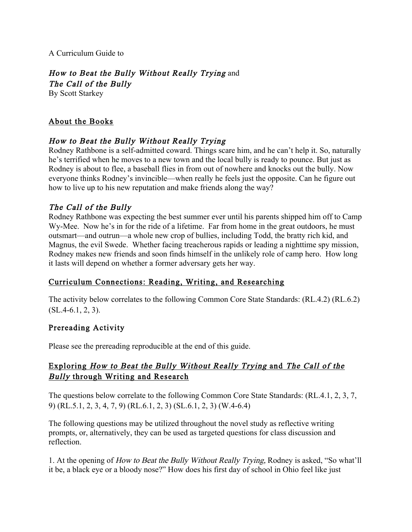A Curriculum Guide to

# How to Beat the Bully Without Really Trying and

The Call of the Bully

By Scott Starkey

## About the Books

## How to Beat the Bully Without Really Trying

Rodney Rathbone is a self-admitted coward. Things scare him, and he can't help it. So, naturally he's terrified when he moves to a new town and the local bully is ready to pounce. But just as Rodney is about to flee, a baseball flies in from out of nowhere and knocks out the bully. Now everyone thinks Rodney's invincible—when really he feels just the opposite. Can he figure out how to live up to his new reputation and make friends along the way?

## The Call of the Bully

Rodney Rathbone was expecting the best summer ever until his parents shipped him off to Camp Wy-Mee. Now he's in for the ride of a lifetime. Far from home in the great outdoors, he must outsmart—and outrun—a whole new crop of bullies, including Todd, the bratty rich kid, and Magnus, the evil Swede. Whether facing treacherous rapids or leading a nighttime spy mission, Rodney makes new friends and soon finds himself in the unlikely role of camp hero. How long it lasts will depend on whether a former adversary gets her way.

## Curriculum Connections: Reading, Writing, and Researching

The activity below correlates to the following Common Core State Standards: (RL.4.2) (RL.6.2)  $(SL.4-6.1, 2, 3).$ 

#### Prereading Activity

Please see the prereading reproducible at the end of this guide.

## Exploring How to Beat the Bully Without Really Trying and The Call of the Bully through Writing and Research

The questions below correlate to the following Common Core State Standards: (RL.4.1, 2, 3, 7, 9) (RL.5.1, 2, 3, 4, 7, 9) (RL.6.1, 2, 3) (SL.6.1, 2, 3) (W.4-6.4)

The following questions may be utilized throughout the novel study as reflective writing prompts, or, alternatively, they can be used as targeted questions for class discussion and reflection.

1. At the opening of How to Beat the Bully Without Really Trying, Rodney is asked, "So what'll it be, a black eye or a bloody nose?" How does his first day of school in Ohio feel like just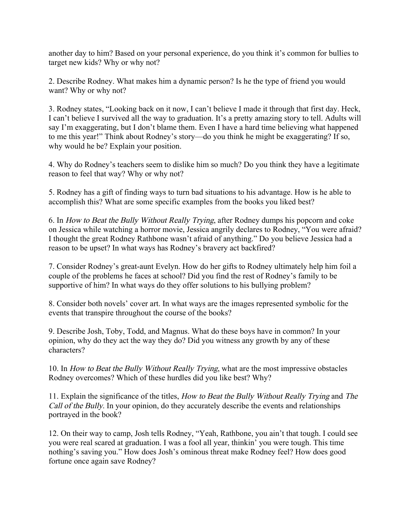another day to him? Based on your personal experience, do you think it's common for bullies to target new kids? Why or why not?

2. Describe Rodney. What makes him a dynamic person? Is he the type of friend you would want? Why or why not?

3. Rodney states, "Looking back on it now, I can't believe I made it through that first day. Heck, I can't believe I survived all the way to graduation. It's a pretty amazing story to tell. Adults will say I'm exaggerating, but I don't blame them. Even I have a hard time believing what happened to me this year!" Think about Rodney's story—do you think he might be exaggerating? If so, why would he be? Explain your position.

4. Why do Rodney's teachers seem to dislike him so much? Do you think they have a legitimate reason to feel that way? Why or why not?

5. Rodney has a gift of finding ways to turn bad situations to his advantage. How is he able to accomplish this? What are some specific examples from the books you liked best?

6. In How to Beat the Bully Without Really Trying, after Rodney dumps his popcorn and coke on Jessica while watching a horror movie, Jessica angrily declares to Rodney, "You were afraid? I thought the great Rodney Rathbone wasn't afraid of anything." Do you believe Jessica had a reason to be upset? In what ways has Rodney's bravery act backfired?

7. Consider Rodney's great-aunt Evelyn. How do her gifts to Rodney ultimately help him foil a couple of the problems he faces at school? Did you find the rest of Rodney's family to be supportive of him? In what ways do they offer solutions to his bullying problem?

8. Consider both novels' cover art. In what ways are the images represented symbolic for the events that transpire throughout the course of the books?

9. Describe Josh, Toby, Todd, and Magnus. What do these boys have in common? In your opinion, why do they act the way they do? Did you witness any growth by any of these characters?

10. In How to Beat the Bully Without Really Trying, what are the most impressive obstacles Rodney overcomes? Which of these hurdles did you like best? Why?

11. Explain the significance of the titles, How to Beat the Bully Without Really Trying and The Call of the Bully. In your opinion, do they accurately describe the events and relationships portrayed in the book?

12. On their way to camp, Josh tells Rodney, "Yeah, Rathbone, you ain't that tough. I could see you were real scared at graduation. I was a fool all year, thinkin' you were tough. This time nothing's saving you." How does Josh's ominous threat make Rodney feel? How does good fortune once again save Rodney?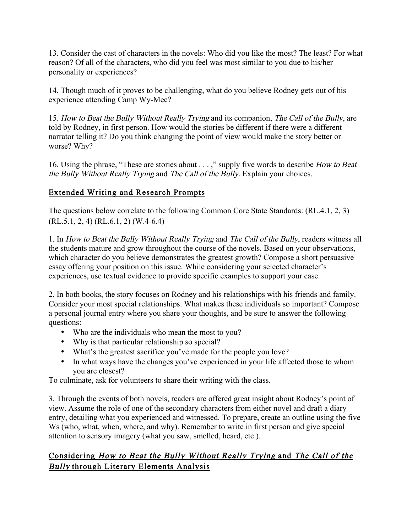13. Consider the cast of characters in the novels: Who did you like the most? The least? For what reason? Of all of the characters, who did you feel was most similar to you due to his/her personality or experiences?

14. Though much of it proves to be challenging, what do you believe Rodney gets out of his experience attending Camp Wy-Mee?

15. How to Beat the Bully Without Really Trying and its companion, The Call of the Bully, are told by Rodney, in first person. How would the stories be different if there were a different narrator telling it? Do you think changing the point of view would make the story better or worse? Why?

16. Using the phrase, "These are stories about . . . ," supply five words to describe How to Beat the Bully Without Really Trying and The Call of the Bully. Explain your choices.

## Extended Writing and Research Prompts

The questions below correlate to the following Common Core State Standards: (RL.4.1, 2, 3) (RL.5.1, 2, 4) (RL.6.1, 2) (W.4-6.4)

1. In How to Beat the Bully Without Really Trying and The Call of the Bully, readers witness all the students mature and grow throughout the course of the novels. Based on your observations, which character do you believe demonstrates the greatest growth? Compose a short persuasive essay offering your position on this issue. While considering your selected character's experiences, use textual evidence to provide specific examples to support your case.

2. In both books, the story focuses on Rodney and his relationships with his friends and family. Consider your most special relationships. What makes these individuals so important? Compose a personal journal entry where you share your thoughts, and be sure to answer the following questions:

- Who are the individuals who mean the most to you?
- Why is that particular relationship so special?
- What's the greatest sacrifice you've made for the people you love?
- In what ways have the changes you've experienced in your life affected those to whom you are closest?

To culminate, ask for volunteers to share their writing with the class.

3. Through the events of both novels, readers are offered great insight about Rodney's point of view. Assume the role of one of the secondary characters from either novel and draft a diary entry, detailing what you experienced and witnessed. To prepare, create an outline using the five Ws (who, what, when, where, and why). Remember to write in first person and give special attention to sensory imagery (what you saw, smelled, heard, etc.).

## Considering How to Beat the Bully Without Really Trying and The Call of the Bully through Literary Elements Analysis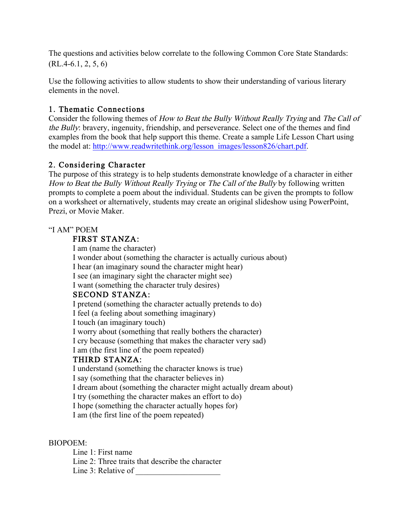The questions and activities below correlate to the following Common Core State Standards:  $(RL.4-6.1, 2, 5, 6)$ 

Use the following activities to allow students to show their understanding of various literary elements in the novel.

## 1. Thematic Connections

Consider the following themes of How to Beat the Bully Without Really Trying and The Call of the Bully: bravery, ingenuity, friendship, and perseverance. Select one of the themes and find examples from the book that help support this theme. Create a sample Life Lesson Chart using the model at: http://www.readwritethink.org/lesson\_images/lesson826/chart.pdf.

## 2. Considering Character

The purpose of this strategy is to help students demonstrate knowledge of a character in either How to Beat the Bully Without Really Trying or The Call of the Bully by following written prompts to complete a poem about the individual. Students can be given the prompts to follow on a worksheet or alternatively, students may create an original slideshow using PowerPoint, Prezi, or Movie Maker.

#### "I AM" POEM

#### FIRST STANZA:

I am (name the character) I wonder about (something the character is actually curious about) I hear (an imaginary sound the character might hear) I see (an imaginary sight the character might see) I want (something the character truly desires) SECOND STANZA: I pretend (something the character actually pretends to do) I feel (a feeling about something imaginary) I touch (an imaginary touch) I worry about (something that really bothers the character) I cry because (something that makes the character very sad) I am (the first line of the poem repeated) THIRD STANZA:

I understand (something the character knows is true) I say (something that the character believes in) I dream about (something the character might actually dream about) I try (something the character makes an effort to do) I hope (something the character actually hopes for) I am (the first line of the poem repeated)

#### BIOPOEM:

Line 1: First name Line 2: Three traits that describe the character Line 3: Relative of  $\qquad \qquad$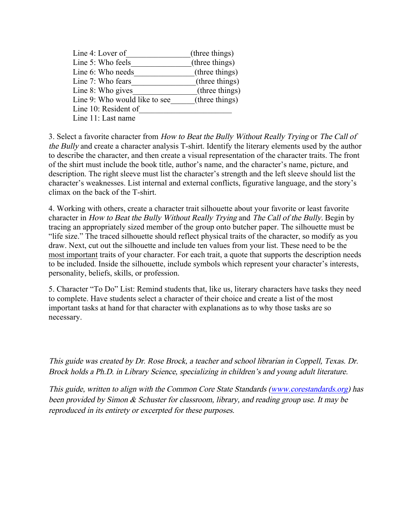| Line 4: Lover of              | (three things) |
|-------------------------------|----------------|
| Line 5: Who feels             | (three things) |
| Line 6: Who needs             | (three things) |
| Line 7: Who fears             | (three things) |
| Line 8: Who gives             | (three things) |
| Line 9: Who would like to see | (three things) |
| Line 10: Resident of          |                |
| Line 11: Last name            |                |

3. Select a favorite character from How to Beat the Bully Without Really Trying or The Call of the Bully and create a character analysis T-shirt. Identify the literary elements used by the author to describe the character, and then create a visual representation of the character traits. The front of the shirt must include the book title, author's name, and the character's name, picture, and description. The right sleeve must list the character's strength and the left sleeve should list the character's weaknesses. List internal and external conflicts, figurative language, and the story's climax on the back of the T-shirt.

4. Working with others, create a character trait silhouette about your favorite or least favorite character in How to Beat the Bully Without Really Trying and The Call of the Bully. Begin by tracing an appropriately sized member of the group onto butcher paper. The silhouette must be "life size." The traced silhouette should reflect physical traits of the character, so modify as you draw. Next, cut out the silhouette and include ten values from your list. These need to be the most important traits of your character. For each trait, a quote that supports the description needs to be included. Inside the silhouette, include symbols which represent your character's interests, personality, beliefs, skills, or profession.

5. Character "To Do" List: Remind students that, like us, literary characters have tasks they need to complete. Have students select a character of their choice and create a list of the most important tasks at hand for that character with explanations as to why those tasks are so necessary.

This guide was created by Dr. Rose Brock, a teacher and school librarian in Coppell, Texas. Dr. Brock holds a Ph.D. in Library Science, specializing in children's and young adult literature.

This guide, written to align with the Common Core State Standards (www.corestandards.org) has been provided by Simon & Schuster for classroom, library, and reading group use. It may be reproduced in its entirety or excerpted for these purposes.